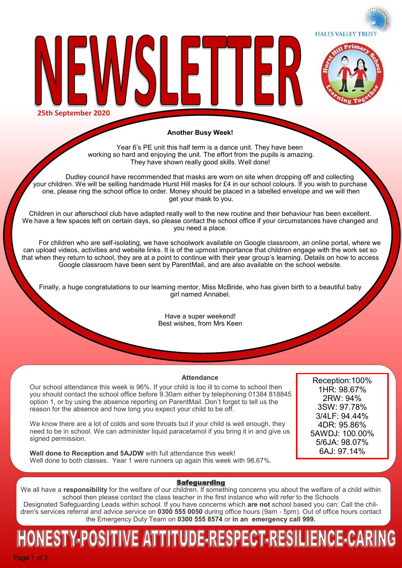**HALES VALLEY TRUST** 



**25th September 2020**

### **Another Busy Week!**

╟┝║

Year 6's PE unit this half term is a dance unit. They have been working so hard and enjoying the unit. The effort from the pupils is amazing. They have shown really good skills. Well done!

Dudley council have recommended that masks are worn on site when dropping off and collecting your children. We will be selling handmade Hurst Hill masks for £4 in our school colours. If you wish to purchase one, please ring the school office to order. Money should be placed in a labelled envelope and we will then get your mask to you.

Children in our afterschool club have adapted really well to the new routine and their behaviour has been excellent. We have a few spaces left on certain days, so please contact the school office if your circumstances have changed and you need a place.

For children who are self-isolating, we have schoolwork available on Google classroom, an online portal, where we can upload videos, activities and website links. It is of the upmost importance that children engage with the work set so that when they return to school, they are at a point to continue with their year group's learning. Details on how to access Google classroom have been sent by ParentMail, and are also available on the school website.

Finally, a huge congratulations to our learning mentor, Miss McBride, who has given birth to a beautiful baby girl named Annabel.

> Have a super weekend! Best wishes, from Mrs Keen

#### **Attendance**

Our school attendance this week is 96%. If your child is too ill to come to school then you should contact the school office before 9.30am either by telephoning 01384 818845 option 1, or by using the absence reporting on ParentMail. Don't forget to tell us the reason for the absence and how long you expect your child to be off.

We know there are a lot of colds and sore throats but if your child is well enough, they need to be in school. We can administer liquid paracetamol if you bring it in and give us signed permission.

**Well done to Reception and 5AJDW** with full attendance this week! Well done to both classes. Year 1 were runners up again this week with 98.67%.

Reception:100% 1HR: 98.67% 2RW: 94% 3SW: 97.78% 3/4LF: 94.44% 4DR: 95.86% 5AWDJ: 100.00% 5/6JA: 98.07% 6AJ: 97.14%

### Safeguarding

We all have a **responsibility** for the welfare of our children. If something concerns you about the welfare of a child within school then please contact the class teacher in the first instance who will refer to the Schools Designated Safeguarding Leads within school. If you have concerns which **are not** school based you can: Call the children's services referral and advice service on **0300 555 0050** during office hours (9am - 5pm). Out of office hours contact the Emergency Duty Team on **0300 555 8574** or **in an emergency call 999.** 

# <u>NESTY-POSITIVE ATTITUDE-RESPECT-RESILIENCE-CARIN</u>

Page 1 of 2